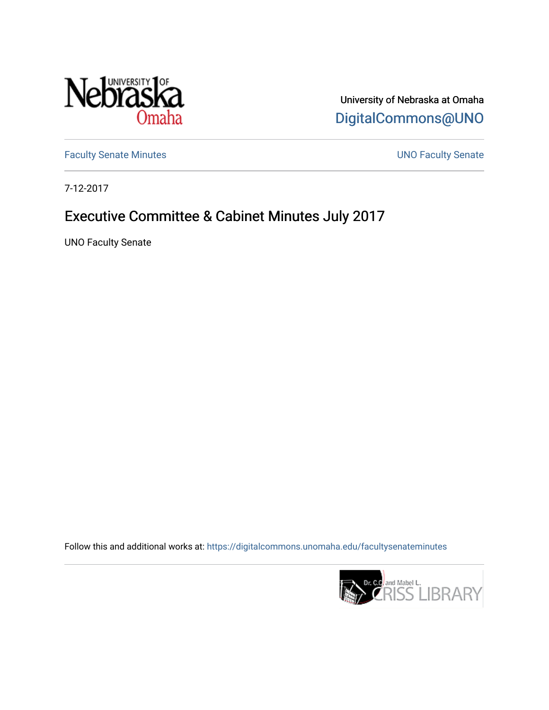

University of Nebraska at Omaha [DigitalCommons@UNO](https://digitalcommons.unomaha.edu/) 

[Faculty Senate Minutes](https://digitalcommons.unomaha.edu/facultysenateminutes) **Exercise Senate UNO Faculty Senate** 

7-12-2017

# Executive Committee & Cabinet Minutes July 2017

UNO Faculty Senate

Follow this and additional works at: [https://digitalcommons.unomaha.edu/facultysenateminutes](https://digitalcommons.unomaha.edu/facultysenateminutes?utm_source=digitalcommons.unomaha.edu%2Ffacultysenateminutes%2F105&utm_medium=PDF&utm_campaign=PDFCoverPages) 

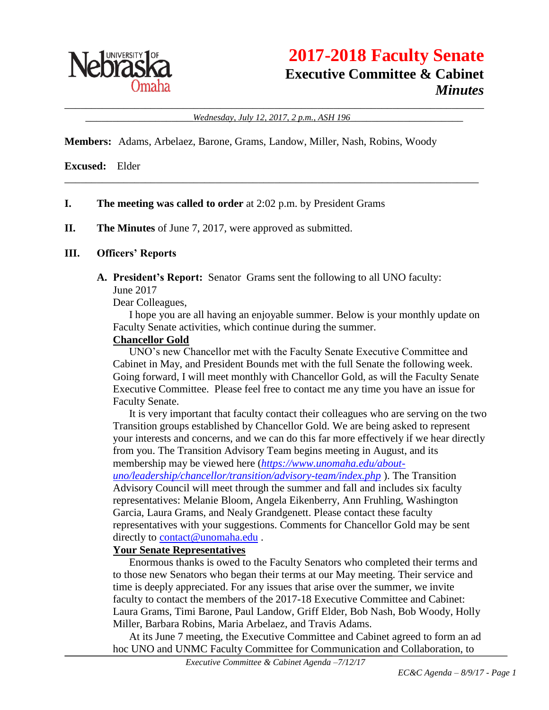

\_\_\_\_\_\_\_\_\_\_\_\_\_\_\_\_\_\_\_\_\_\_\_\_\_\_\_\_\_\_\_\_\_\_\_\_\_\_\_\_\_\_\_\_\_\_\_\_\_\_\_\_\_\_\_\_\_\_\_\_\_\_\_\_\_\_\_\_\_\_\_\_\_\_\_\_\_\_ \_\_\_\_\_\_\_\_\_\_\_\_\_\_\_\_\_\_\_\_*Wednesday, July 12, 2017, 2 p.m., ASH 196*\_\_\_\_\_\_\_\_\_\_\_\_\_\_\_\_\_\_\_\_\_

\_\_\_\_\_\_\_\_\_\_\_\_\_\_\_\_\_\_\_\_\_\_\_\_\_\_\_\_\_\_\_\_\_\_\_\_\_\_\_\_\_\_\_\_\_\_\_\_\_\_\_\_\_\_\_\_\_\_\_\_\_\_\_\_\_\_\_\_\_\_\_\_\_\_\_\_\_

**Members:** Adams, Arbelaez, Barone, Grams, Landow, Miller, Nash, Robins, Woody

**Excused:** Elder

### **I. The meeting was called to order** at 2:02 p.m. by President Grams

**II. The Minutes** of June 7, 2017, were approved as submitted.

### **III. Officers' Reports**

**A. President's Report:** Senator Grams sent the following to all UNO faculty: June 2017

Dear Colleagues,

I hope you are all having an enjoyable summer. Below is your monthly update on Faculty Senate activities, which continue during the summer.

### **Chancellor Gold**

UNO's new Chancellor met with the Faculty Senate Executive Committee and Cabinet in May, and President Bounds met with the full Senate the following week. Going forward, I will meet monthly with Chancellor Gold, as will the Faculty Senate Executive Committee. Please feel free to contact me any time you have an issue for Faculty Senate.

It is very important that faculty contact their colleagues who are serving on the two Transition groups established by Chancellor Gold. We are being asked to represent your interests and concerns, and we can do this far more effectively if we hear directly from you. The Transition Advisory Team begins meeting in August, and its membership may be viewed here (*[https://www.unomaha.edu/about-](https://www.unomaha.edu/about-uno/leadership/chancellor/transition/advisory-team/index.php)*

*[uno/leadership/chancellor/transition/advisory-team/index.php](https://www.unomaha.edu/about-uno/leadership/chancellor/transition/advisory-team/index.php)* ). The Transition Advisory Council will meet through the summer and fall and includes six faculty representatives: Melanie Bloom, Angela Eikenberry, Ann Fruhling, Washington Garcia, Laura Grams, and Nealy Grandgenett. Please contact these faculty representatives with your suggestions. Comments for Chancellor Gold may be sent directly to [contact@unomaha.edu](mailto:contact@unomaha.edu).

#### **Your Senate Representatives**

Enormous thanks is owed to the Faculty Senators who completed their terms and to those new Senators who began their terms at our May meeting. Their service and time is deeply appreciated. For any issues that arise over the summer, we invite faculty to contact the members of the 2017-18 Executive Committee and Cabinet: Laura Grams, Timi Barone, Paul Landow, Griff Elder, Bob Nash, Bob Woody, Holly Miller, Barbara Robins, Maria Arbelaez, and Travis Adams.

At its June 7 meeting, the Executive Committee and Cabinet agreed to form an ad hoc UNO and UNMC Faculty Committee for Communication and Collaboration, to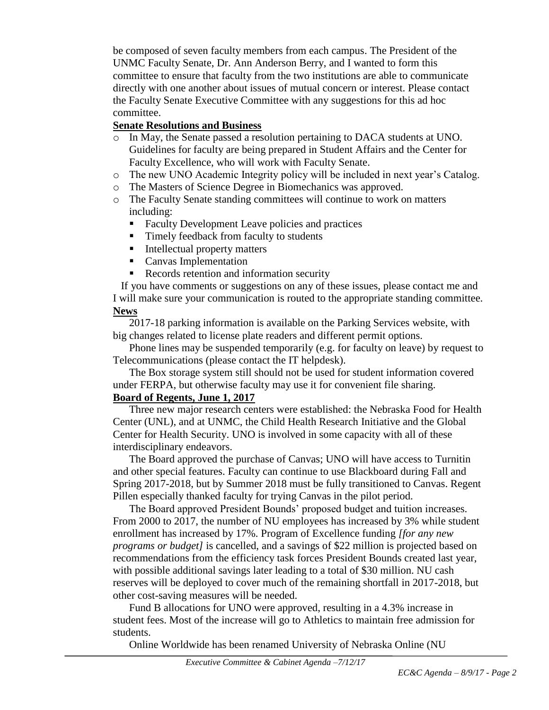be composed of seven faculty members from each campus. The President of the UNMC Faculty Senate, Dr. Ann Anderson Berry, and I wanted to form this committee to ensure that faculty from the two institutions are able to communicate directly with one another about issues of mutual concern or interest. Please contact the Faculty Senate Executive Committee with any suggestions for this ad hoc committee.

## **Senate Resolutions and Business**

- o In May, the Senate passed a resolution pertaining to DACA students at UNO. Guidelines for faculty are being prepared in Student Affairs and the Center for Faculty Excellence, who will work with Faculty Senate.
- o The new UNO Academic Integrity policy will be included in next year's Catalog.
- o The Masters of Science Degree in Biomechanics was approved.
- o The Faculty Senate standing committees will continue to work on matters including:
	- Faculty Development Leave policies and practices
	- Timely feedback from faculty to students
	- **Intellectual property matters**
	- **Canvas Implementation**
	- Records retention and information security

If you have comments or suggestions on any of these issues, please contact me and I will make sure your communication is routed to the appropriate standing committee. **News**

2017-18 parking information is available on the Parking Services website, with big changes related to license plate readers and different permit options.

Phone lines may be suspended temporarily (e.g. for faculty on leave) by request to Telecommunications (please contact the IT helpdesk).

The Box storage system still should not be used for student information covered under FERPA, but otherwise faculty may use it for convenient file sharing.

## **Board of Regents, June 1, 2017**

Three new major research centers were established: the Nebraska Food for Health Center (UNL), and at UNMC, the Child Health Research Initiative and the Global Center for Health Security. UNO is involved in some capacity with all of these interdisciplinary endeavors.

The Board approved the purchase of Canvas; UNO will have access to Turnitin and other special features. Faculty can continue to use Blackboard during Fall and Spring 2017-2018, but by Summer 2018 must be fully transitioned to Canvas. Regent Pillen especially thanked faculty for trying Canvas in the pilot period.

The Board approved President Bounds' proposed budget and tuition increases. From 2000 to 2017, the number of NU employees has increased by 3% while student enrollment has increased by 17%. Program of Excellence funding *[for any new programs or budget]* is cancelled, and a savings of \$22 million is projected based on recommendations from the efficiency task forces President Bounds created last year, with possible additional savings later leading to a total of \$30 million. NU cash reserves will be deployed to cover much of the remaining shortfall in 2017-2018, but other cost-saving measures will be needed.

Fund B allocations for UNO were approved, resulting in a 4.3% increase in student fees. Most of the increase will go to Athletics to maintain free admission for students.

Online Worldwide has been renamed University of Nebraska Online (NU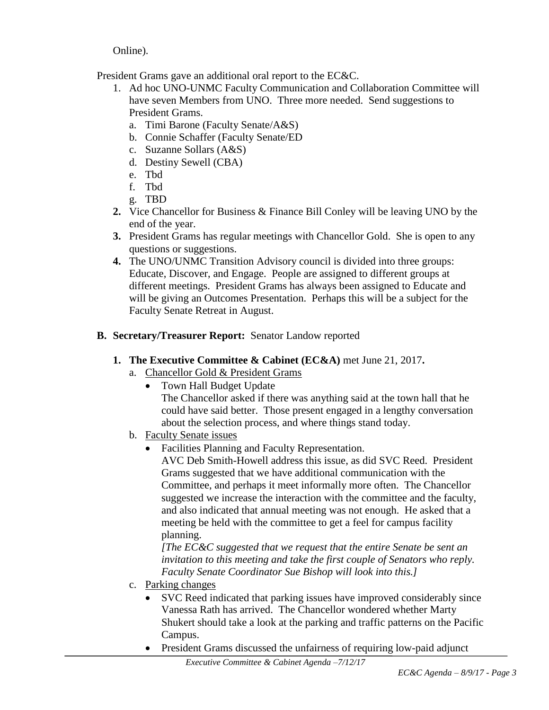Online).

President Grams gave an additional oral report to the EC&C.

- 1. Ad hoc UNO-UNMC Faculty Communication and Collaboration Committee will have seven Members from UNO. Three more needed. Send suggestions to President Grams.
	- a. Timi Barone (Faculty Senate/A&S)
	- b. Connie Schaffer (Faculty Senate/ED
	- c. Suzanne Sollars (A&S)
	- d. Destiny Sewell (CBA)
	- e. Tbd
	- f. Tbd
	- g. TBD
- **2.** Vice Chancellor for Business & Finance Bill Conley will be leaving UNO by the end of the year.
- **3.** President Grams has regular meetings with Chancellor Gold. She is open to any questions or suggestions.
- **4.** The UNO/UNMC Transition Advisory council is divided into three groups: Educate, Discover, and Engage. People are assigned to different groups at different meetings. President Grams has always been assigned to Educate and will be giving an Outcomes Presentation. Perhaps this will be a subject for the Faculty Senate Retreat in August.

## **B. Secretary/Treasurer Report:** Senator Landow reported

- **1. The Executive Committee & Cabinet (EC&A)** met June 21, 2017**.**
	- a. Chancellor Gold & President Grams
		- Town Hall Budget Update

The Chancellor asked if there was anything said at the town hall that he could have said better. Those present engaged in a lengthy conversation about the selection process, and where things stand today.

- b. Faculty Senate issues
	- Facilities Planning and Faculty Representation.

AVC Deb Smith-Howell address this issue, as did SVC Reed. President Grams suggested that we have additional communication with the Committee, and perhaps it meet informally more often. The Chancellor suggested we increase the interaction with the committee and the faculty, and also indicated that annual meeting was not enough. He asked that a meeting be held with the committee to get a feel for campus facility planning.

*[The EC&C suggested that we request that the entire Senate be sent an invitation to this meeting and take the first couple of Senators who reply. Faculty Senate Coordinator Sue Bishop will look into this.]*

- c. Parking changes
	- SVC Reed indicated that parking issues have improved considerably since Vanessa Rath has arrived. The Chancellor wondered whether Marty Shukert should take a look at the parking and traffic patterns on the Pacific Campus.
	- President Grams discussed the unfairness of requiring low-paid adjunct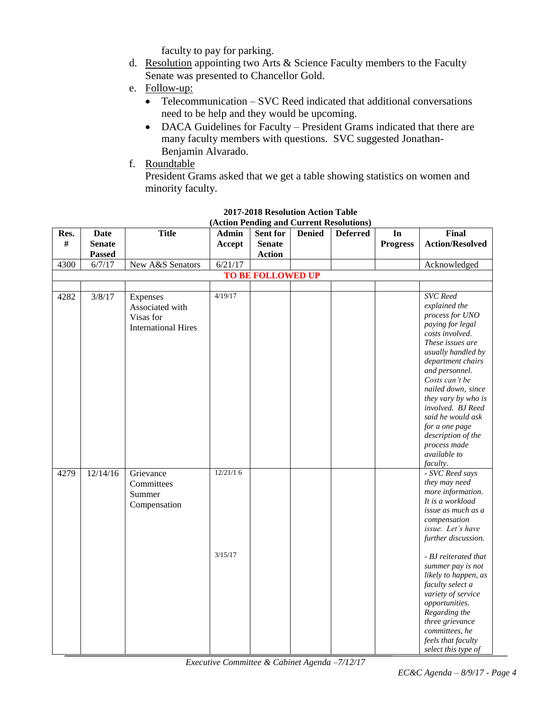faculty to pay for parking.

- d. Resolution appointing two Arts & Science Faculty members to the Faculty Senate was presented to Chancellor Gold.
- e. Follow-up:
	- Telecommunication SVC Reed indicated that additional conversations need to be help and they would be upcoming.
	- DACA Guidelines for Faculty President Grams indicated that there are many faculty members with questions. SVC suggested Jonathan-Benjamin Alvarado.
- f. Roundtable

President Grams asked that we get a table showing statistics on women and minority faculty.

| Res.                     | <b>Date</b>   | <b>Title</b>               | <b>Admin</b> | Sent for      | <b>Denied</b> | <b>Deferred</b> | In              | <b>Final</b>                         |
|--------------------------|---------------|----------------------------|--------------|---------------|---------------|-----------------|-----------------|--------------------------------------|
| #                        | <b>Senate</b> |                            | Accept       | <b>Senate</b> |               |                 | <b>Progress</b> | <b>Action/Resolved</b>               |
|                          | <b>Passed</b> |                            |              | <b>Action</b> |               |                 |                 |                                      |
| 4300                     | 6/7/17        | New A&S Senators           | 6/21/17      |               |               |                 |                 | Acknowledged                         |
| <b>TO BE FOLLOWED UP</b> |               |                            |              |               |               |                 |                 |                                      |
|                          |               |                            |              |               |               |                 |                 |                                      |
| 4282                     | 3/8/17        | Expenses                   | 4/19/17      |               |               |                 |                 | <b>SVC</b> Reed                      |
|                          |               | Associated with            |              |               |               |                 |                 | explained the                        |
|                          |               | Visas for                  |              |               |               |                 |                 | process for UNO                      |
|                          |               | <b>International Hires</b> |              |               |               |                 |                 | paying for legal                     |
|                          |               |                            |              |               |               |                 |                 | costs involved.                      |
|                          |               |                            |              |               |               |                 |                 | These issues are                     |
|                          |               |                            |              |               |               |                 |                 | usually handled by                   |
|                          |               |                            |              |               |               |                 |                 | department chairs<br>and personnel.  |
|                          |               |                            |              |               |               |                 |                 | Costs can't be                       |
|                          |               |                            |              |               |               |                 |                 | nailed down, since                   |
|                          |               |                            |              |               |               |                 |                 | they vary by who is                  |
|                          |               |                            |              |               |               |                 |                 | involved. BJ Reed                    |
|                          |               |                            |              |               |               |                 |                 | said he would ask                    |
|                          |               |                            |              |               |               |                 |                 | for a one page                       |
|                          |               |                            |              |               |               |                 |                 | description of the                   |
|                          |               |                            |              |               |               |                 |                 | process made                         |
|                          |               |                            |              |               |               |                 |                 | available to                         |
|                          |               |                            |              |               |               |                 |                 | faculty.                             |
| 4279                     | 12/14/16      | Grievance                  | 12/21/16     |               |               |                 |                 | - SVC Reed says                      |
|                          |               | Committees                 |              |               |               |                 |                 | they may need<br>more information.   |
|                          |               | Summer                     |              |               |               |                 |                 | It is a workload                     |
|                          |               | Compensation               |              |               |               |                 |                 | issue as much as a                   |
|                          |               |                            |              |               |               |                 |                 | compensation                         |
|                          |               |                            |              |               |               |                 |                 | issue. Let's have                    |
|                          |               |                            |              |               |               |                 |                 | further discussion.                  |
|                          |               |                            |              |               |               |                 |                 |                                      |
|                          |               |                            | 3/15/17      |               |               |                 |                 | - BJ reiterated that                 |
|                          |               |                            |              |               |               |                 |                 | summer pay is not                    |
|                          |               |                            |              |               |               |                 |                 | likely to happen, as                 |
|                          |               |                            |              |               |               |                 |                 | faculty select a                     |
|                          |               |                            |              |               |               |                 |                 | variety of service<br>opportunities. |
|                          |               |                            |              |               |               |                 |                 | Regarding the                        |
|                          |               |                            |              |               |               |                 |                 | three grievance                      |
|                          |               |                            |              |               |               |                 |                 | committees, he                       |
|                          |               |                            |              |               |               |                 |                 | feels that faculty                   |
|                          |               |                            |              |               |               |                 |                 | select this type of                  |

#### **2017-2018 Resolution Action Table (Action Pending and Current Resolutions)**

*Executive Committee & Cabinet Agenda –7/12/17*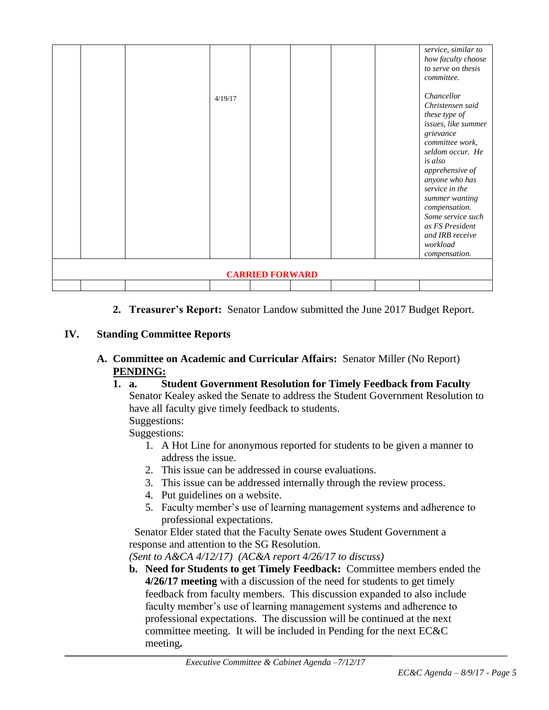| <b>CARRIED FORWARD</b> |  |  | 4/19/17 |  |  |  |  | service, similar to<br>how faculty choose<br>to serve on thesis<br>committee.<br>Chancellor<br>Christensen said<br>these type of<br>issues, like summer<br>grievance<br>committee work,<br>seldom occur. He<br>is also<br>apprehensive of<br>anyone who has<br>service in the<br>summer wanting<br>compensation.<br>Some service such<br>as FS President<br>and IRB receive<br>workload<br>compensation. |
|------------------------|--|--|---------|--|--|--|--|----------------------------------------------------------------------------------------------------------------------------------------------------------------------------------------------------------------------------------------------------------------------------------------------------------------------------------------------------------------------------------------------------------|
|                        |  |  |         |  |  |  |  |                                                                                                                                                                                                                                                                                                                                                                                                          |

**2. Treasurer's Report:** Senator Landow submitted the June 2017 Budget Report.

## **IV. Standing Committee Reports**

- **A. Committee on Academic and Curricular Affairs:** Senator Miller (No Report) **PENDING:** 
	- **1. a. Student Government Resolution for Timely Feedback from Faculty** Senator Kealey asked the Senate to address the Student Government Resolution to have all faculty give timely feedback to students. Suggestions:

Suggestions:

- 1. A Hot Line for anonymous reported for students to be given a manner to address the issue.
- 2. This issue can be addressed in course evaluations.
- 3. This issue can be addressed internally through the review process.
- 4. Put guidelines on a website.
- 5. Faculty member's use of learning management systems and adherence to professional expectations.

Senator Elder stated that the Faculty Senate owes Student Government a response and attention to the SG Resolution.

*(Sent to A&CA 4/12/17) (AC&A report 4/26/17 to discuss)*

**b. Need for Students to get Timely Feedback:** Committee members ended the **4/26/17 meeting** with a discussion of the need for students to get timely feedback from faculty members. This discussion expanded to also include faculty member's use of learning management systems and adherence to professional expectations. The discussion will be continued at the next committee meeting. It will be included in Pending for the next EC&C meeting**.**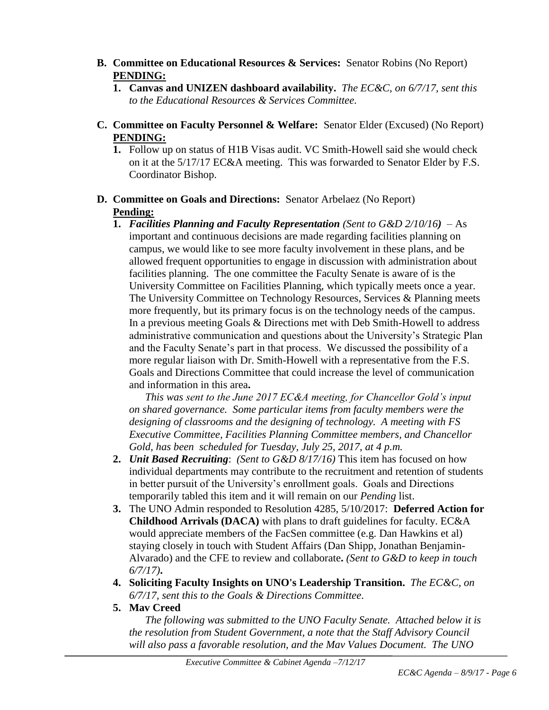- **B. Committee on Educational Resources & Services:** Senator Robins (No Report) **PENDING:**
	- **1. Canvas and UNIZEN dashboard availability.** *The EC&C, on 6/7/17, sent this to the Educational Resources & Services Committee.*
- **C. Committee on Faculty Personnel & Welfare:** Senator Elder (Excused) (No Report) **PENDING:**
	- **1.** Follow up on status of H1B Visas audit. VC Smith-Howell said she would check on it at the 5/17/17 EC&A meeting. This was forwarded to Senator Elder by F.S. Coordinator Bishop.
- **D. Committee on Goals and Directions:** Senator Arbelaez (No Report) **Pending:**
	- **1.** *Facilities Planning and Faculty Representation (Sent to G&D 2/10/16)* As important and continuous decisions are made regarding facilities planning on campus, we would like to see more faculty involvement in these plans, and be allowed frequent opportunities to engage in discussion with administration about facilities planning. The one committee the Faculty Senate is aware of is the University Committee on Facilities Planning, which typically meets once a year. The University Committee on Technology Resources, Services & Planning meets more frequently, but its primary focus is on the technology needs of the campus. In a previous meeting Goals & Directions met with Deb Smith-Howell to address administrative communication and questions about the University's Strategic Plan and the Faculty Senate's part in that process. We discussed the possibility of a more regular liaison with Dr. Smith-Howell with a representative from the F.S. Goals and Directions Committee that could increase the level of communication and information in this area**.**

*This was sent to the June 2017 EC&A meeting, for Chancellor Gold's input on shared governance. Some particular items from faculty members were the designing of classrooms and the designing of technology. A meeting with FS Executive Committee, Facilities Planning Committee members, and Chancellor Gold, has been scheduled for Tuesday, July 25, 2017, at 4 p.m.*

- **2.** *Unit Based Recruiting*: *(Sent to G&D 8/17/16)* This item has focused on how individual departments may contribute to the recruitment and retention of students in better pursuit of the University's enrollment goals. Goals and Directions temporarily tabled this item and it will remain on our *Pending* list.
- **3.** The UNO Admin responded to Resolution 4285, 5/10/2017: **Deferred Action for Childhood Arrivals (DACA)** with plans to draft guidelines for faculty. EC&A would appreciate members of the FacSen committee (e.g. Dan Hawkins et al) staying closely in touch with Student Affairs (Dan Shipp, Jonathan Benjamin-Alvarado) and the CFE to review and collaborate**.** *(Sent to G&D to keep in touch 6/7/17)***.**
- **4. Soliciting Faculty Insights on UNO's Leadership Transition.** *The EC&C, on 6/7/17, sent this to the Goals & Directions Committee*.
- **5. Mav Creed**

*The following was submitted to the UNO Faculty Senate. Attached below it is the resolution from Student Government, a note that the Staff Advisory Council will also pass a favorable resolution, and the Mav Values Document. The UNO*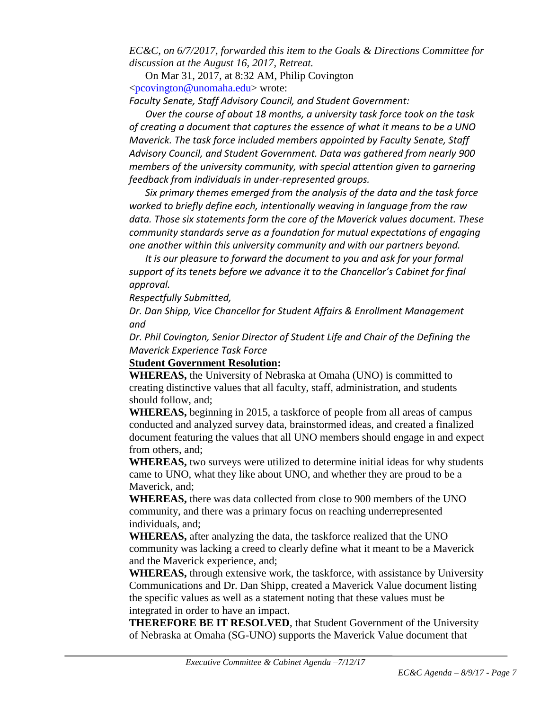*EC&C, on 6/7/2017, forwarded this item to the Goals & Directions Committee for discussion at the August 16, 2017, Retreat.*

On Mar 31, 2017, at 8:32 AM, Philip Covington [<pcovington@unomaha.edu>](mailto:pcovington@unomaha.edu) wrote:

*Faculty Senate, Staff Advisory Council, and Student Government:*

*Over the course of about 18 months, a university task force took on the task of creating a document that captures the essence of what it means to be a UNO Maverick. The task force included members appointed by Faculty Senate, Staff Advisory Council, and Student Government. Data was gathered from nearly 900 members of the university community, with special attention given to garnering feedback from individuals in under-represented groups.*

*Six primary themes emerged from the analysis of the data and the task force worked to briefly define each, intentionally weaving in language from the raw data. Those six statements form the core of the Maverick values document. These community standards serve as a foundation for mutual expectations of engaging one another within this university community and with our partners beyond.*

*It is our pleasure to forward the document to you and ask for your formal support of its tenets before we advance it to the Chancellor's Cabinet for final approval.*

*Respectfully Submitted,*

*Dr. Dan Shipp, Vice Chancellor for Student Affairs & Enrollment Management and*

*Dr. Phil Covington, Senior Director of Student Life and Chair of the Defining the Maverick Experience Task Force*

## **Student Government Resolution:**

**WHEREAS,** the University of Nebraska at Omaha (UNO) is committed to creating distinctive values that all faculty, staff, administration, and students should follow, and;

**WHEREAS,** beginning in 2015, a taskforce of people from all areas of campus conducted and analyzed survey data, brainstormed ideas, and created a finalized document featuring the values that all UNO members should engage in and expect from others, and;

**WHEREAS,** two surveys were utilized to determine initial ideas for why students came to UNO, what they like about UNO, and whether they are proud to be a Maverick, and;

**WHEREAS,** there was data collected from close to 900 members of the UNO community, and there was a primary focus on reaching underrepresented individuals, and;

**WHEREAS,** after analyzing the data, the taskforce realized that the UNO community was lacking a creed to clearly define what it meant to be a Maverick and the Maverick experience, and;

**WHEREAS,** through extensive work, the taskforce, with assistance by University Communications and Dr. Dan Shipp, created a Maverick Value document listing the specific values as well as a statement noting that these values must be integrated in order to have an impact.

**THEREFORE BE IT RESOLVED**, that Student Government of the University of Nebraska at Omaha (SG-UNO) supports the Maverick Value document that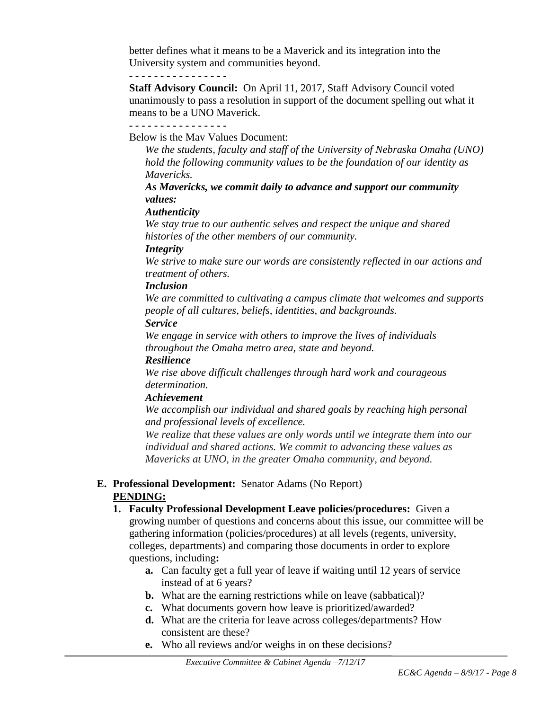better defines what it means to be a Maverick and its integration into the University system and communities beyond.

#### **- - - - - - - - - - - - - - - -**

**Staff Advisory Council:** On April 11, 2017, Staff Advisory Council voted unanimously to pass a resolution in support of the document spelling out what it means to be a UNO Maverick.

Below is the Mav Values Document:

*We the students, faculty and staff of the University of Nebraska Omaha (UNO) hold the following community values to be the foundation of our identity as Mavericks.*

*As Mavericks, we commit daily to advance and support our community values:*

## *Authenticity*

*We stay true to our authentic selves and respect the unique and shared histories of the other members of our community.*

### *Integrity*

*We strive to make sure our words are consistently reflected in our actions and treatment of others.*

### *Inclusion*

*We are committed to cultivating a campus climate that welcomes and supports people of all cultures, beliefs, identities, and backgrounds.*

#### *Service*

*We engage in service with others to improve the lives of individuals throughout the Omaha metro area, state and beyond.* 

#### *Resilience*

*We rise above difficult challenges through hard work and courageous determination.* 

#### *Achievement*

*We accomplish our individual and shared goals by reaching high personal and professional levels of excellence.*

*We realize that these values are only words until we integrate them into our individual and shared actions. We commit to advancing these values as Mavericks at UNO, in the greater Omaha community, and beyond.*

## **E. Professional Development:** Senator Adams (No Report) **PENDING:**

- **1. Faculty Professional Development Leave policies/procedures:** Given a growing number of questions and concerns about this issue, our committee will be gathering information (policies/procedures) at all levels (regents, university, colleges, departments) and comparing those documents in order to explore questions, including**:** 
	- **a.** Can faculty get a full year of leave if waiting until 12 years of service instead of at 6 years?
	- **b.** What are the earning restrictions while on leave (sabbatical)?
	- **c.** What documents govern how leave is prioritized/awarded?
	- **d.** What are the criteria for leave across colleges/departments? How consistent are these?
	- **e.** Who all reviews and/or weighs in on these decisions?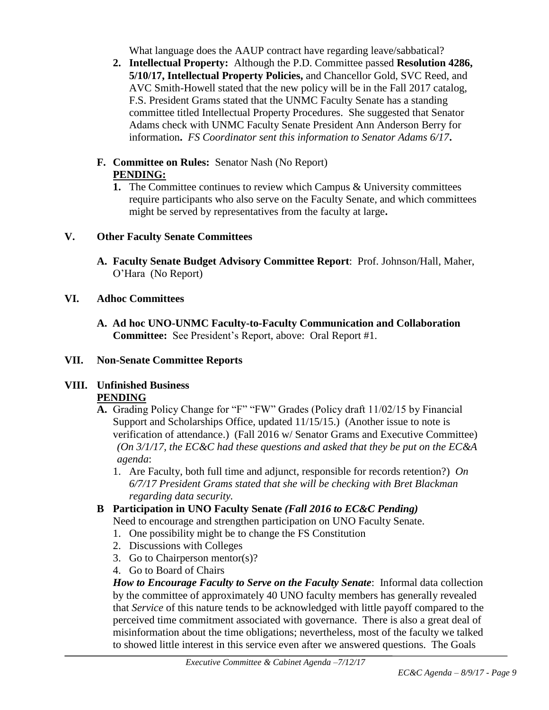What language does the AAUP contract have regarding leave/sabbatical?

- **2. Intellectual Property:** Although the P.D. Committee passed **Resolution 4286, 5/10/17, Intellectual Property Policies,** and Chancellor Gold, SVC Reed, and AVC Smith-Howell stated that the new policy will be in the Fall 2017 catalog, F.S. President Grams stated that the UNMC Faculty Senate has a standing committee titled Intellectual Property Procedures. She suggested that Senator Adams check with UNMC Faculty Senate President Ann Anderson Berry for information**.** *FS Coordinator sent this information to Senator Adams 6/17***.**
- **F. Committee on Rules:** Senator Nash (No Report) **PENDING:**
	- **1.** The Committee continues to review which Campus & University committees require participants who also serve on the Faculty Senate, and which committees might be served by representatives from the faculty at large**.**

## **V. Other Faculty Senate Committees**

**A. Faculty Senate Budget Advisory Committee Report**: Prof. Johnson/Hall, Maher, O'Hara (No Report)

## **VI. Adhoc Committees**

**A. Ad hoc UNO-UNMC Faculty-to-Faculty Communication and Collaboration Committee:** See President's Report, above: Oral Report #1.

## **VII. Non-Senate Committee Reports**

## **VIII. Unfinished Business**

## **PENDING**

- **A.** Grading Policy Change for "F" "FW" Grades (Policy draft 11/02/15 by Financial Support and Scholarships Office, updated 11/15/15.) (Another issue to note is verification of attendance.) (Fall 2016 w/ Senator Grams and Executive Committee) *(On 3/1/17, the EC&C had these questions and asked that they be put on the EC&A agenda*:
	- 1. Are Faculty, both full time and adjunct, responsible for records retention?) *On 6/7/17 President Grams stated that she will be checking with Bret Blackman regarding data security.*

# **B Participation in UNO Faculty Senate** *(Fall 2016 to EC&C Pending)*

Need to encourage and strengthen participation on UNO Faculty Senate.

- 1. One possibility might be to change the FS Constitution
- 2. Discussions with Colleges
- 3. Go to Chairperson mentor(s)?
- 4. Go to Board of Chairs

*How to Encourage Faculty to Serve on the Faculty Senate*: Informal data collection by the committee of approximately 40 UNO faculty members has generally revealed that *Service* of this nature tends to be acknowledged with little payoff compared to the perceived time commitment associated with governance. There is also a great deal of misinformation about the time obligations; nevertheless, most of the faculty we talked to showed little interest in this service even after we answered questions. The Goals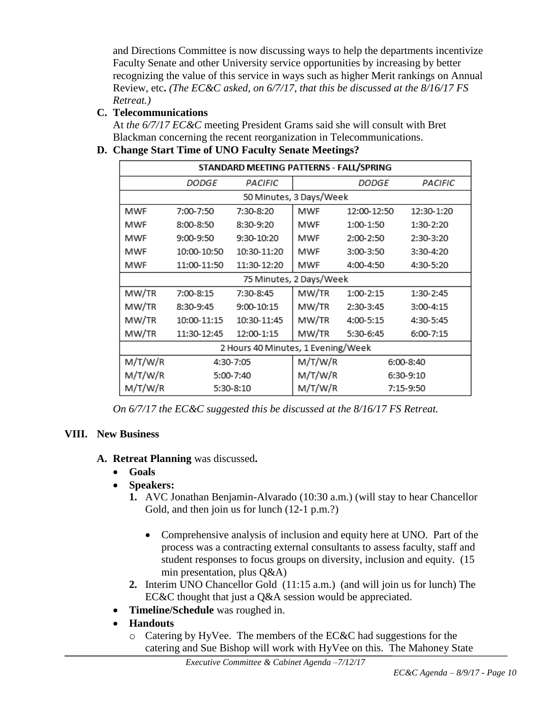and Directions Committee is now discussing ways to help the departments incentivize Faculty Senate and other University service opportunities by increasing by better recognizing the value of this service in ways such as higher Merit rankings on Annual Review, etc**.** *(The EC&C asked, on 6/7/17, that this be discussed at the 8/16/17 FS Retreat.)*

## **C. Telecommunications**

At *the 6/7/17 EC&C* meeting President Grams said she will consult with Bret Blackman concerning the recent reorganization in Telecommunications.

## **D. Change Start Time of UNO Faculty Senate Meetings?**

| STANDARD MEETING PATTERNS - FALL/SPRING |              |             |         |              |            |  |  |  |
|-----------------------------------------|--------------|-------------|---------|--------------|------------|--|--|--|
|                                         | <i>DODGE</i> | PACIFIC     |         | <b>DODGE</b> | PACIFIC    |  |  |  |
| 50 Minutes, 3 Days/Week                 |              |             |         |              |            |  |  |  |
| MWF                                     | 7:00-7:50    | 7:30-8:20   | MWF     | 12:00-12:50  | 12:30-1:20 |  |  |  |
| MWF                                     | 8:00-8:50    | 8:30-9:20   | MWF     | 1:00-1:50    | 1:30-2:20  |  |  |  |
| MWF                                     | 9:00-9:50    | 9:30-10:20  | MWF     | 2:00-2:50    | 2:30-3:20  |  |  |  |
| MWF                                     | 10:00-10:50  | 10:30-11:20 | MWF     | 3:00-3:50    | 3:30-4:20  |  |  |  |
| MWF                                     | 11:00-11:50  | 11:30-12:20 | MWF     | 4:00-4:50    | 4:30-5:20  |  |  |  |
| 75 Minutes, 2 Days/Week                 |              |             |         |              |            |  |  |  |
| MW/TR                                   | 7:00-8:15    | 7:30-8:45   | MW/TR   | 1:00-2:15    | 1:30-2:45  |  |  |  |
| MW/TR                                   | 8:30-9:45    | 9:00-10:15  | MW/TR   | 2:30-3:45    | 3:00-4:15  |  |  |  |
| MW/TR                                   | 10:00-11:15  | 10:30-11:45 | MW/TR   | 4:00-5:15    | 4:30-5:45  |  |  |  |
| MW/TR                                   | 11:30-12:45  | 12:00-1:15  | MW/TR   | 5:30-6:45    | 6:00-7:15  |  |  |  |
| 2 Hours 40 Minutes, 1 Evening/Week      |              |             |         |              |            |  |  |  |
| M/T/W/R                                 | 4:30-7:05    |             | M/T/W/R |              | 6:00-8:40  |  |  |  |
| M/T/W/R                                 | 5:00-7:40    |             | M/T/W/R |              | 6:30-9:10  |  |  |  |
| M/T/W/R                                 | 5:30-8:10    |             | M/T/W/R |              | 7:15-9:50  |  |  |  |

*On 6/7/17 the EC&C suggested this be discussed at the 8/16/17 FS Retreat.*

## **VIII. New Business**

- **A. Retreat Planning** was discussed**.**
	- **Goals**
	- **Speakers:** 
		- **1.** AVC Jonathan Benjamin-Alvarado (10:30 a.m.) (will stay to hear Chancellor Gold, and then join us for lunch (12-1 p.m.?)
			- Comprehensive analysis of inclusion and equity here at UNO. Part of the process was a contracting external consultants to assess faculty, staff and student responses to focus groups on diversity, inclusion and equity. (15 min presentation, plus Q&A)
		- **2.** Interim UNO Chancellor Gold (11:15 a.m.) (and will join us for lunch) The EC&C thought that just a Q&A session would be appreciated.
	- **Timeline/Schedule** was roughed in.
	- **Handouts** 
		- o Catering by HyVee. The members of the EC&C had suggestions for the catering and Sue Bishop will work with HyVee on this. The Mahoney State